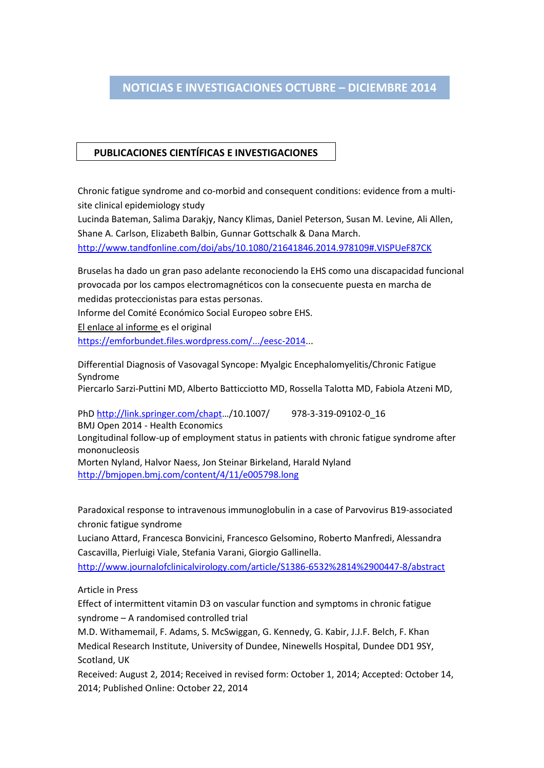## **NOTICIAS E INVESTIGACIONES ENERO – MARZO 2014 NOTICIAS E INVESTIGACIONES OCTUBRE – DICIEMBRE 2014**

## **PUBLICACIONES CIENTÍFICAS E INVESTIGACIONES**

**ESTIGACIONES ENERO – MARZO 2014**

Chronic fatigue syndrome and co-morbid and consequent conditions: evidence from a multisite clinical epidemiology study

Lucinda Bateman, Salima Darakjy, Nancy Klimas, Daniel Peterson, Susan M. Levine, Ali Allen, Shane A. Carlson, Elizabeth Balbin, Gunnar Gottschalk & Dana March.

http://www.tandfonline.com/doi/abs/10.1080/21641846.2014.978109#.VISPUeF87CK

Bruselas ha dado un gran paso adelante reconociendo la EHS como una discapacidad funcional provocada por los campos electromagnéticos con la consecuente puesta en marcha de medidas proteccionistas para estas personas.

Informe del Comité Económico Social Europeo sobre EHS.

El enlace al informe es el original

[https://emforbundet.files.wordpress.com/.../eesc-2014.](https://emforbundet.files.wordpress.com/.../eesc-2014)..

Differential Diagnosis of Vasovagal Syncope: Myalgic Encephalomyelitis/Chronic Fatigue Syndrome

Piercarlo Sarzi-Puttini MD, Alberto Batticciotto MD, Rossella Talotta MD, Fabiola Atzeni MD,

PhD [http://link.springer.com/chapt](http://l.facebook.com/l.php?u=http%3A%2F%2Flink.springer.com%2Fchapt&h=uAQH34SWX&s=1)…/10.1007/ 978-3-319-09102-0\_16 BMJ Open 2014 - Health Economics

Longitudinal follow-up of employment status in patients with chronic fatigue syndrome after mononucleosis

Morten Nyland, Halvor Naess, Jon Steinar Birkeland, Harald Nyland <http://bmjopen.bmj.com/content/4/11/e005798.long>

Paradoxical response to intravenous immunoglobulin in a case of Parvovirus B19-associated chronic fatigue syndrome

Luciano Attard, Francesca Bonvicini, Francesco Gelsomino, Roberto Manfredi, Alessandra Cascavilla, Pierluigi Viale, Stefania Varani, Giorgio Gallinella.

<http://www.journalofclinicalvirology.com/article/S1386-6532%2814%2900447-8/abstract>

Article in Press

Effect of intermittent vitamin D3 on vascular function and symptoms in chronic fatigue syndrome – A randomised controlled trial

M.D. Withamemail, F. Adams, S. McSwiggan, G. Kennedy, G. Kabir, J.J.F. Belch, F. Khan Medical Research Institute, University of Dundee, Ninewells Hospital, Dundee DD1 9SY, Scotland, UK

Received: August 2, 2014; Received in revised form: October 1, 2014; Accepted: October 14, 2014; Published Online: October 22, 2014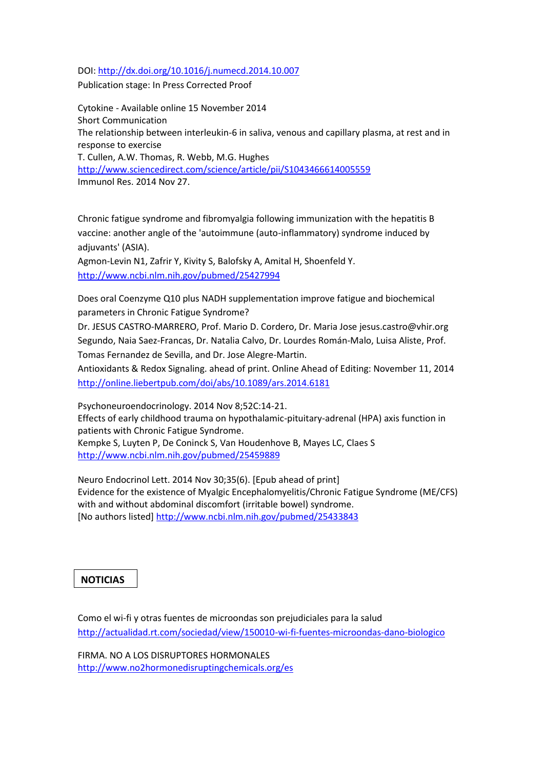## DOI:<http://dx.doi.org/10.1016/j.numecd.2014.10.007>

Publication stage: In Press Corrected Proof

Cytokine - Available online 15 November 2014 Short Communication The relationship between interleukin-6 in saliva, venous and capillary plasma, at rest and in response to exercise T. Cullen, A.W. Thomas, R. Webb, M.G. Hughes <http://www.sciencedirect.com/science/article/pii/S1043466614005559> Immunol Res. 2014 Nov 27.

Chronic fatigue syndrome and fibromyalgia following immunization with the hepatitis B vaccine: another angle of the 'autoimmune (auto-inflammatory) syndrome induced by adjuvants' (ASIA).

Agmon-Levin N1, Zafrir Y, Kivity S, Balofsky A, Amital H, Shoenfeld Y. <http://www.ncbi.nlm.nih.gov/pubmed/25427994>

Does oral Coenzyme Q10 plus NADH supplementation improve fatigue and biochemical parameters in Chronic Fatigue Syndrome?

Dr. JESUS CASTRO-MARRERO, Prof. Mario D. Cordero, Dr. Maria Jose jesus.castro@vhir.org Segundo, Naia Saez-Francas, Dr. Natalia Calvo, Dr. Lourdes Román-Malo, Luisa Aliste, Prof. Tomas Fernandez de Sevilla, and Dr. Jose Alegre-Martin.

Antioxidants & Redox Signaling. ahead of print. Online Ahead of Editing: November 11, 2014 <http://online.liebertpub.com/doi/abs/10.1089/ars.2014.6181>

Psychoneuroendocrinology. 2014 Nov 8;52C:14-21. Effects of early childhood trauma on hypothalamic-pituitary-adrenal (HPA) axis function in patients with Chronic Fatigue Syndrome. Kempke S, Luyten P, De Coninck S, Van Houdenhove B, Mayes LC, Claes S <http://www.ncbi.nlm.nih.gov/pubmed/25459889>

Neuro Endocrinol Lett. 2014 Nov 30;35(6). [Epub ahead of print] Evidence for the existence of Myalgic Encephalomyelitis/Chronic Fatigue Syndrome (ME/CFS) with and without abdominal discomfort (irritable bowel) syndrome. [No authors listed]<http://www.ncbi.nlm.nih.gov/pubmed/25433843>

## **NOTICIAS**

Como el wi-fi y otras fuentes de microondas son prejudiciales para la salud <http://actualidad.rt.com/sociedad/view/150010-wi-fi-fuentes-microondas-dano-biologico>

FIRMA. NO A LOS DISRUPTORES HORMONALES <http://www.no2hormonedisruptingchemicals.org/es>